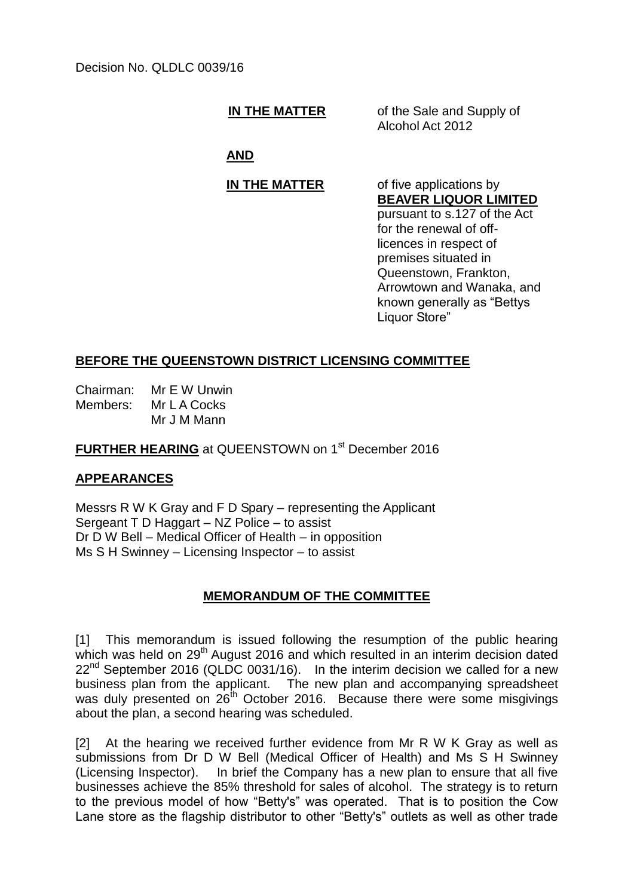**IN THE MATTER** of the Sale and Supply of Alcohol Act 2012

# **AND**

### **IN THE MATTER** of five applications by **BEAVER LIQUOR LIMITED**

pursuant to s.127 of the Act for the renewal of offlicences in respect of premises situated in Queenstown, Frankton, Arrowtown and Wanaka, and known generally as "Bettys Liquor Store"

# **BEFORE THE QUEENSTOWN DISTRICT LICENSING COMMITTEE**

Chairman: Mr E W Unwin Members: Mr L A Cocks Mr J M Mann

### **FURTHER HEARING** at QUEENSTOWN on 1<sup>st</sup> December 2016

# **APPEARANCES**

Messrs R W K Gray and F D Spary – representing the Applicant Sergeant T D Haggart – NZ Police – to assist Dr D W Bell – Medical Officer of Health – in opposition Ms S H Swinney – Licensing Inspector – to assist

# **MEMORANDUM OF THE COMMITTEE**

[1] This memorandum is issued following the resumption of the public hearing which was held on 29<sup>th</sup> August 2016 and which resulted in an interim decision dated  $22<sup>nd</sup>$  September 2016 (QLDC 0031/16). In the interim decision we called for a new business plan from the applicant. The new plan and accompanying spreadsheet was duly presented on  $26^{th}$  October 2016. Because there were some misgivings about the plan, a second hearing was scheduled.

[2] At the hearing we received further evidence from Mr R W K Gray as well as submissions from Dr D W Bell (Medical Officer of Health) and Ms S H Swinney (Licensing Inspector). In brief the Company has a new plan to ensure that all five businesses achieve the 85% threshold for sales of alcohol. The strategy is to return to the previous model of how "Betty's" was operated. That is to position the Cow Lane store as the flagship distributor to other "Betty's" outlets as well as other trade